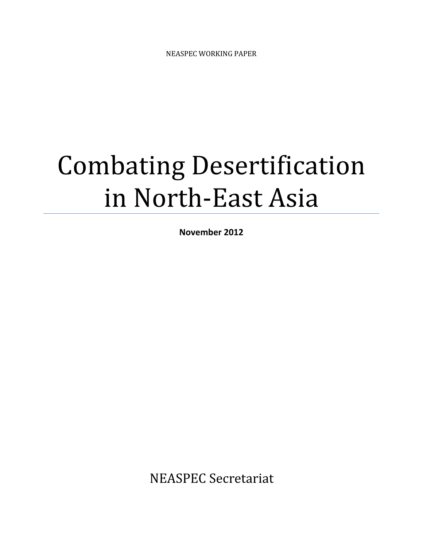# Combating Desertification in North-East Asia

November 2012

NEASPEC Secretariat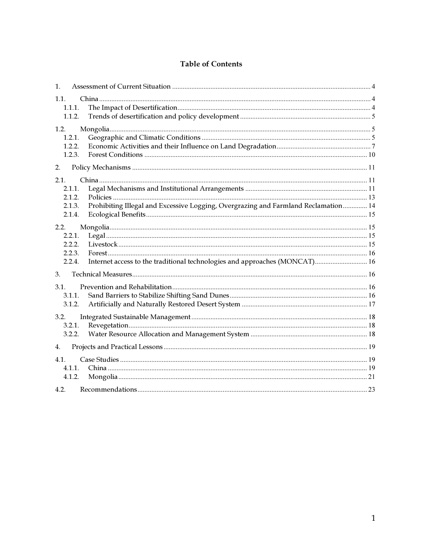# **Table of Contents**

| $\mathbf{1}$ . |                                                                                    |  |
|----------------|------------------------------------------------------------------------------------|--|
| 1.1.           |                                                                                    |  |
| 1.1.1.         |                                                                                    |  |
| 1.1.2.         |                                                                                    |  |
| 1.2.           |                                                                                    |  |
| 1.2.1.         |                                                                                    |  |
| 1.2.2.         |                                                                                    |  |
| 1.2.3.         |                                                                                    |  |
| 2.             |                                                                                    |  |
| 2.1.           |                                                                                    |  |
| 2.1.1.         |                                                                                    |  |
| 2.1.2.         |                                                                                    |  |
| 2.1.3.         | Prohibiting Illegal and Excessive Logging, Overgrazing and Farmland Reclamation 14 |  |
| 2.1.4.         |                                                                                    |  |
| 2.2.           |                                                                                    |  |
| 2.2.1.         |                                                                                    |  |
| 2.2.2.         |                                                                                    |  |
| 2.2.3.         |                                                                                    |  |
| 2.2.4.         | Internet access to the traditional technologies and approaches (MONCAT) 16         |  |
| 3.             |                                                                                    |  |
| 3.1.           |                                                                                    |  |
| 3.1.1.         |                                                                                    |  |
| 3.1.2.         |                                                                                    |  |
| 3.2.           |                                                                                    |  |
| 3.2.1.         |                                                                                    |  |
| 3.2.2.         |                                                                                    |  |
| 4.             |                                                                                    |  |
| 4.1.           |                                                                                    |  |
| 4.1.1.         |                                                                                    |  |
| 4.1.2.         |                                                                                    |  |
| 4.2.           |                                                                                    |  |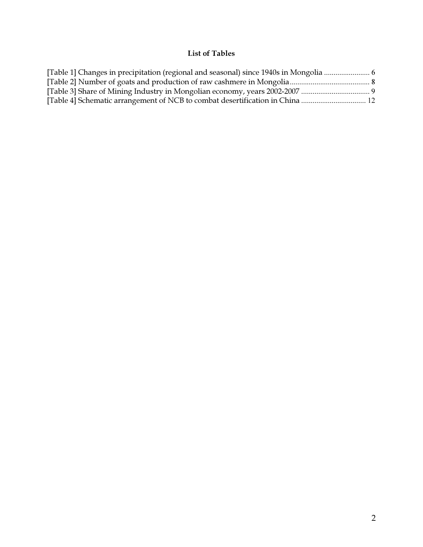# List of Tables

| [Table 1] Changes in precipitation (regional and seasonal) since 1940s in Mongolia  6 |  |
|---------------------------------------------------------------------------------------|--|
|                                                                                       |  |
|                                                                                       |  |
|                                                                                       |  |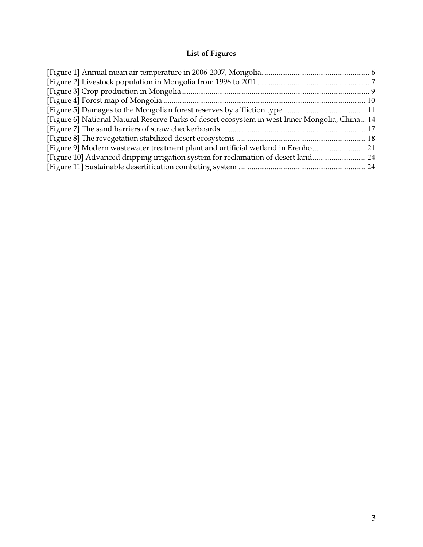# List of Figures

| [Figure 6] National Natural Reserve Parks of desert ecosystem in west Inner Mongolia, China 14 |  |
|------------------------------------------------------------------------------------------------|--|
|                                                                                                |  |
|                                                                                                |  |
| [Figure 9] Modern wastewater treatment plant and artificial wetland in Erenhot21               |  |
| [Figure 10] Advanced dripping irrigation system for reclamation of desert land 24              |  |
|                                                                                                |  |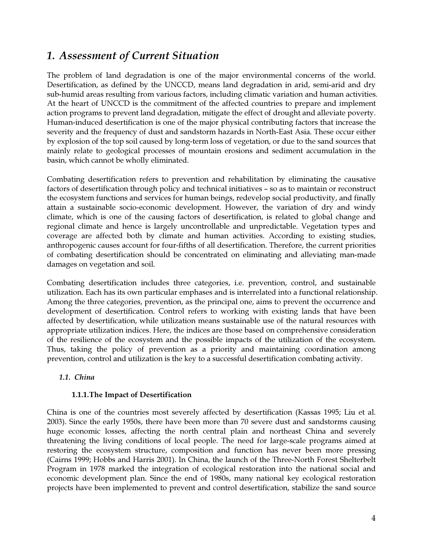# 1. Assessment of Current Situation

The problem of land degradation is one of the major environmental concerns of the world. Desertification, as defined by the UNCCD, means land degradation in arid, semi-arid and dry sub-humid areas resulting from various factors, including climatic variation and human activities. At the heart of UNCCD is the commitment of the affected countries to prepare and implement action programs to prevent land degradation, mitigate the effect of drought and alleviate poverty. Human-induced desertification is one of the major physical contributing factors that increase the severity and the frequency of dust and sandstorm hazards in North-East Asia. These occur either by explosion of the top soil caused by long-term loss of vegetation, or due to the sand sources that mainly relate to geological processes of mountain erosions and sediment accumulation in the basin, which cannot be wholly eliminated.

Combating desertification refers to prevention and rehabilitation by eliminating the causative factors of desertification through policy and technical initiatives – so as to maintain or reconstruct the ecosystem functions and services for human beings, redevelop social productivity, and finally attain a sustainable socio-economic development. However, the variation of dry and windy climate, which is one of the causing factors of desertification, is related to global change and regional climate and hence is largely uncontrollable and unpredictable. Vegetation types and coverage are affected both by climate and human activities. According to existing studies, anthropogenic causes account for four-fifths of all desertification. Therefore, the current priorities of combating desertification should be concentrated on eliminating and alleviating man-made damages on vegetation and soil.

Combating desertification includes three categories, i.e. prevention, control, and sustainable utilization. Each has its own particular emphases and is interrelated into a functional relationship. Among the three categories, prevention, as the principal one, aims to prevent the occurrence and development of desertification. Control refers to working with existing lands that have been affected by desertification, while utilization means sustainable use of the natural resources with appropriate utilization indices. Here, the indices are those based on comprehensive consideration of the resilience of the ecosystem and the possible impacts of the utilization of the ecosystem. Thus, taking the policy of prevention as a priority and maintaining coordination among prevention, control and utilization is the key to a successful desertification combating activity.

# 1.1. China

# 1.1.1.The Impact of Desertification

China is one of the countries most severely affected by desertification (Kassas 1995; Liu et al. 2003). Since the early 1950s, there have been more than 70 severe dust and sandstorms causing huge economic losses, affecting the north central plain and northeast China and severely threatening the living conditions of local people. The need for large-scale programs aimed at restoring the ecosystem structure, composition and function has never been more pressing (Cairns 1999; Hobbs and Harris 2001). In China, the launch of the Three-North Forest Shelterbelt Program in 1978 marked the integration of ecological restoration into the national social and economic development plan. Since the end of 1980s, many national key ecological restoration projects have been implemented to prevent and control desertification, stabilize the sand source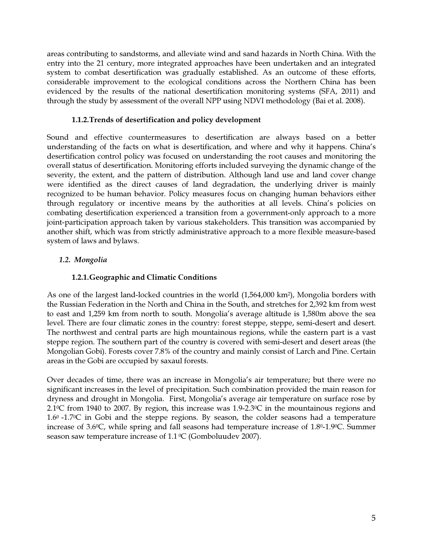areas contributing to sandstorms, and alleviate wind and sand hazards in North China. With the entry into the 21 century, more integrated approaches have been undertaken and an integrated system to combat desertification was gradually established. As an outcome of these efforts, considerable improvement to the ecological conditions across the Northern China has been evidenced by the results of the national desertification monitoring systems (SFA, 2011) and through the study by assessment of the overall NPP using NDVI methodology (Bai et al. 2008).

#### 1.1.2.Trends of desertification and policy development

Sound and effective countermeasures to desertification are always based on a better understanding of the facts on what is desertification, and where and why it happens. China's desertification control policy was focused on understanding the root causes and monitoring the overall status of desertification. Monitoring efforts included surveying the dynamic change of the severity, the extent, and the pattern of distribution. Although land use and land cover change were identified as the direct causes of land degradation, the underlying driver is mainly recognized to be human behavior. Policy measures focus on changing human behaviors either through regulatory or incentive means by the authorities at all levels. China's policies on combating desertification experienced a transition from a government-only approach to a more joint-participation approach taken by various stakeholders. This transition was accompanied by another shift, which was from strictly administrative approach to a more flexible measure-based system of laws and bylaws.

# 1.2. Mongolia

# 1.2.1.Geographic and Climatic Conditions

As one of the largest land-locked countries in the world (1,564,000 km<sup>2</sup>), Mongolia borders with the Russian Federation in the North and China in the South, and stretches for 2,392 km from west to east and 1,259 km from north to south. Mongolia's average altitude is 1,580m above the sea level. There are four climatic zones in the country: forest steppe, steppe, semi-desert and desert. The northwest and central parts are high mountainous regions, while the eastern part is a vast steppe region. The southern part of the country is covered with semi-desert and desert areas (the Mongolian Gobi). Forests cover 7.8% of the country and mainly consist of Larch and Pine. Certain areas in the Gobi are occupied by saxaul forests.

Over decades of time, there was an increase in Mongolia's air temperature; but there were no significant increases in the level of precipitation. Such combination provided the main reason for dryness and drought in Mongolia. First, Mongolia's average air temperature on surface rose by 2.1<sup>0</sup>С from 1940 to 2007. By region, this increase was 1.9-2.3<sup>0</sup>С in the mountainous regions and 1.6<sup>0</sup>-1.7<sup>0</sup>С in Gobi and the steppe regions. By season, the colder seasons had a temperature increase of 3.6<sup>0</sup>С, while spring and fall seasons had temperature increase of 1.8<sup>0</sup>-1.9<sup>0</sup>С. Summer season saw temperature increase of  $1.1\,^{\circ}$ C (Gomboluudev 2007).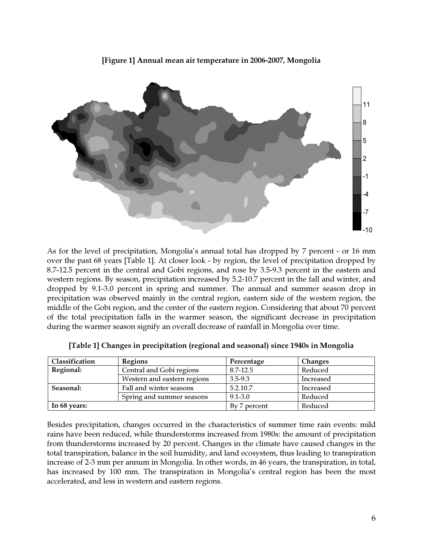[Figure 1] Annual mean air temperature in 2006-2007, Mongolia



As for the level of precipitation, Mongolia's annual total has dropped by 7 percent - or 16 mm over the past 68 years [Table 1]. At closer look - by region, the level of precipitation dropped by 8.7-12.5 percent in the central and Gobi regions, and rose by 3.5-9.3 percent in the eastern and western regions. By season, precipitation increased by 5.2-10.7 percent in the fall and winter, and dropped by 9.1-3.0 percent in spring and summer. The annual and summer season drop in precipitation was observed mainly in the central region, eastern side of the western region, the middle of the Gobi region, and the center of the eastern region. Considering that about 70 percent of the total precipitation falls in the warmer season, the significant decrease in precipitation during the warmer season signify an overall decrease of rainfall in Mongolia over time.

| Classification | <b>Regions</b>              | Percentage   | <b>Changes</b> |  |
|----------------|-----------------------------|--------------|----------------|--|
| Regional:      | Central and Gobi regions    | 8.7-12.5     | Reduced        |  |
|                | Western and eastern regions | 3.5-9.3      | Increased      |  |
| Seasonal:      | Fall and winter seasons     | 5.2.10.7     | Increased      |  |
|                | Spring and summer seasons   | $9.1 - 3.0$  | Reduced        |  |
| In 68 years:   |                             | By 7 percent | Reduced        |  |

| [Table 1] Changes in precipitation (regional and seasonal) since 1940s in Mongolia |  |  |  |
|------------------------------------------------------------------------------------|--|--|--|
|                                                                                    |  |  |  |

Besides precipitation, changes occurred in the characteristics of summer time rain events: mild rains have been reduced, while thunderstorms increased from 1980s: the amount of precipitation from thunderstorms increased by 20 percent. Changes in the climate have caused changes in the total transpiration, balance in the soil humidity, and land ecosystem, thus leading to transpiration increase of 2-3 mm per annum in Mongolia. In other words, in 46 years, the transpiration, in total, has increased by 100 mm. The transpiration in Mongolia's central region has been the most accelerated, and less in western and eastern regions.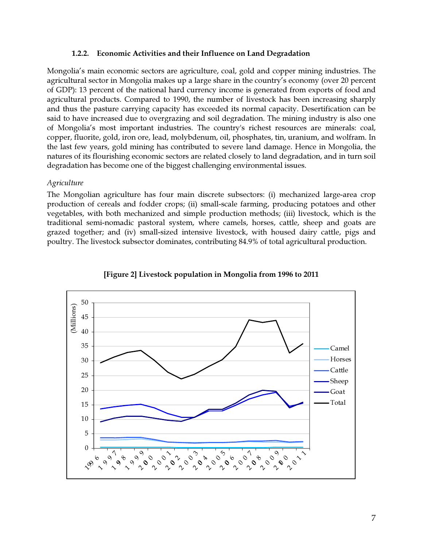#### 1.2.2. Economic Activities and their Influence on Land Degradation

Mongolia's main economic sectors are agriculture, coal, gold and copper mining industries. The agricultural sector in Mongolia makes up a large share in the country's economy (over 20 percent of GDP): 13 percent of the national hard currency income is generated from exports of food and agricultural products. Compared to 1990, the number of livestock has been increasing sharply and thus the pasture carrying capacity has exceeded its normal capacity. Desertification can be said to have increased due to overgrazing and soil degradation. The mining industry is also one of Mongolia's most important industries. The country's richest resources are minerals: coal, copper, fluorite, gold, iron ore, lead, molybdenum, oil, phosphates, tin, uranium, and wolfram. In the last few years, gold mining has contributed to severe land damage. Hence in Mongolia, the natures of its flourishing economic sectors are related closely to land degradation, and in turn soil degradation has become one of the biggest challenging environmental issues.

#### **Agriculture**

The Mongolian agriculture has four main discrete subsectors: (i) mechanized large-area crop production of cereals and fodder crops; (ii) small-scale farming, producing potatoes and other vegetables, with both mechanized and simple production methods; (iii) livestock, which is the traditional semi-nomadic pastoral system, where camels, horses, cattle, sheep and goats are grazed together; and (iv) small-sized intensive livestock, with housed dairy cattle, pigs and poultry. The livestock subsector dominates, contributing 84.9% of total agricultural production.



[Figure 2] Livestock population in Mongolia from 1996 to 2011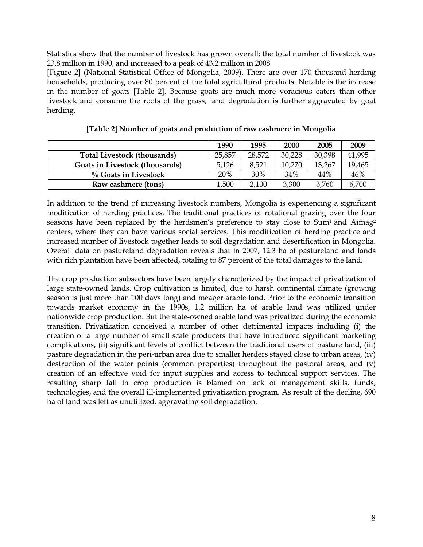Statistics show that the number of livestock has grown overall: the total number of livestock was 23.8 million in 1990, and increased to a peak of 43.2 million in 2008

[Figure 2] (National Statistical Office of Mongolia, 2009). There are over 170 thousand herding households, producing over 80 percent of the total agricultural products. Notable is the increase in the number of goats [Table 2]. Because goats are much more voracious eaters than other livestock and consume the roots of the grass, land degradation is further aggravated by goat herding.

|                                    | 1990   | 1995   | 2000   | 2005   | 2009   |
|------------------------------------|--------|--------|--------|--------|--------|
| <b>Total Livestock (thousands)</b> | 25,857 | 28,572 | 30,228 | 30,398 | 41,995 |
| Goats in Livestock (thousands)     | 5,126  | 8,521  | 10,270 | 13,267 | 19,465 |
| $\%$ Goats in Livestock            | 20%    | 30%    | 34%    | 44%    | 46%    |
| Raw cashmere (tons)                | 1,500  | 2,100  | 3,300  | 3,760  | 6,700  |

[Table 2] Number of goats and production of raw cashmere in Mongolia

In addition to the trend of increasing livestock numbers, Mongolia is experiencing a significant modification of herding practices. The traditional practices of rotational grazing over the four seasons have been replaced by the herdsmen's preference to stay close to Sum<sup>1</sup> and Aimag<sup>2</sup> centers, where they can have various social services. This modification of herding practice and increased number of livestock together leads to soil degradation and desertification in Mongolia. Overall data on pastureland degradation reveals that in 2007, 12.3 ha of pastureland and lands with rich plantation have been affected, totaling to 87 percent of the total damages to the land.

The crop production subsectors have been largely characterized by the impact of privatization of large state-owned lands. Crop cultivation is limited, due to harsh continental climate (growing season is just more than 100 days long) and meager arable land. Prior to the economic transition towards market economy in the 1990s, 1.2 million ha of arable land was utilized under nationwide crop production. But the state-owned arable land was privatized during the economic transition. Privatization conceived a number of other detrimental impacts including (i) the creation of a large number of small scale producers that have introduced significant marketing complications, (ii) significant levels of conflict between the traditional users of pasture land, (iii) pasture degradation in the peri-urban area due to smaller herders stayed close to urban areas, (iv) destruction of the water points (common properties) throughout the pastoral areas, and (v) creation of an effective void for input supplies and access to technical support services. The resulting sharp fall in crop production is blamed on lack of management skills, funds, technologies, and the overall ill-implemented privatization program. As result of the decline, 690 ha of land was left as unutilized, aggravating soil degradation.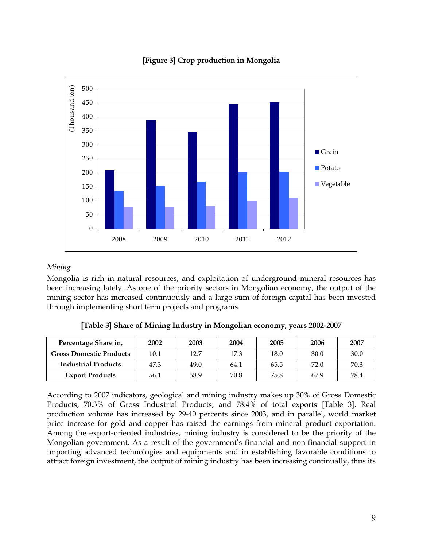

# [Figure 3] Crop production in Mongolia

#### Mining

Mongolia is rich in natural resources, and exploitation of underground mineral resources has been increasing lately. As one of the priority sectors in Mongolian economy, the output of the mining sector has increased continuously and a large sum of foreign capital has been invested through implementing short term projects and programs.

| Percentage Share in,       | 2002 | 2003 | 2004 | 2005 | 2006 | 2007 |
|----------------------------|------|------|------|------|------|------|
| Gross Domestic Products    | 10.1 | 12.7 | 17.3 | 18.0 | 30.0 | 30.0 |
| <b>Industrial Products</b> | 47.3 | 49.0 | 64.1 | 65.5 | 72.0 | 70.3 |

Export Products | 56.1 | 58.9 | 70.8 | 75.8 | 67.9 | 78.4

[Table 3] Share of Mining Industry in Mongolian economy, years 2002-2007

According to 2007 indicators, geological and mining industry makes up 30% of Gross Domestic Products, 70.3% of Gross Industrial Products, and 78.4% of total exports [Table 3]. Real production volume has increased by 29-40 percents since 2003, and in parallel, world market price increase for gold and copper has raised the earnings from mineral product exportation. Among the export-oriented industries, mining industry is considered to be the priority of the Mongolian government. As a result of the government's financial and non-financial support in importing advanced technologies and equipments and in establishing favorable conditions to attract foreign investment, the output of mining industry has been increasing continually, thus its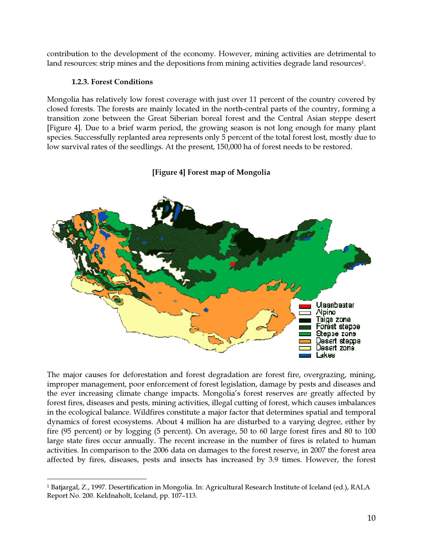contribution to the development of the economy. However, mining activities are detrimental to land resources: strip mines and the depositions from mining activities degrade land resources<sup>1</sup>.

#### 1.2.3. Forest Conditions

 $\overline{a}$ 

Mongolia has relatively low forest coverage with just over 11 percent of the country covered by closed forests. The forests are mainly located in the north-central parts of the country, forming a transition zone between the Great Siberian boreal forest and the Central Asian steppe desert [Figure 4]. Due to a brief warm period, the growing season is not long enough for many plant species. Successfully replanted area represents only 5 percent of the total forest lost, mostly due to low survival rates of the seedlings. At the present, 150,000 ha of forest needs to be restored.



#### [Figure 4] Forest map of Mongolia

The major causes for deforestation and forest degradation are forest fire, overgrazing, mining, improper management, poor enforcement of forest legislation, damage by pests and diseases and the ever increasing climate change impacts. Mongolia's forest reserves are greatly affected by forest fires, diseases and pests, mining activities, illegal cutting of forest, which causes imbalances in the ecological balance. Wildfires constitute a major factor that determines spatial and temporal dynamics of forest ecosystems. About 4 million ha are disturbed to a varying degree, either by fire (95 percent) or by logging (5 percent). On average, 50 to 60 large forest fires and 80 to 100 large state fires occur annually. The recent increase in the number of fires is related to human activities. In comparison to the 2006 data on damages to the forest reserve, in 2007 the forest area affected by fires, diseases, pests and insects has increased by 3.9 times. However, the forest

<sup>&</sup>lt;sup>1</sup> Batjargal, Z., 1997. Desertification in Mongolia. In: Agricultural Research Institute of Iceland (ed.), RALA Report No. 200. Keldnaholt, Iceland, pp. 107–113.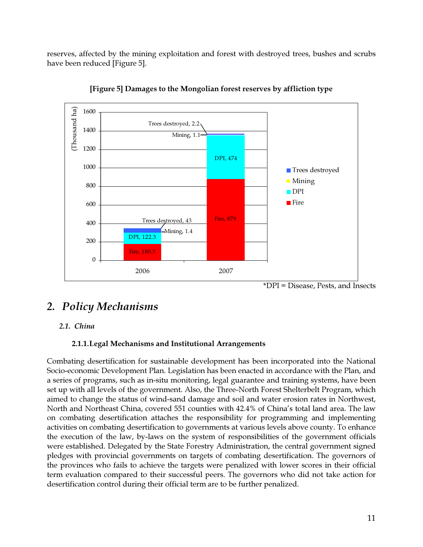reserves, affected by the mining exploitation and forest with destroyed trees, bushes and scrubs have been reduced [Figure 5].



[Figure 5] Damages to the Mongolian forest reserves by affliction type

\*DPI = Disease, Pests, and Insects

# 2. Policy Mechanisms

# 2.1. China

# 2.1.1.Legal Mechanisms and Institutional Arrangements

Combating desertification for sustainable development has been incorporated into the National Socio-economic Development Plan. Legislation has been enacted in accordance with the Plan, and a series of programs, such as in-situ monitoring, legal guarantee and training systems, have been set up with all levels of the government. Also, the Three-North Forest Shelterbelt Program, which aimed to change the status of wind-sand damage and soil and water erosion rates in Northwest, North and Northeast China, covered 551 counties with 42.4% of China's total land area. The law on combating desertification attaches the responsibility for programming and implementing activities on combating desertification to governments at various levels above county. To enhance the execution of the law, by-laws on the system of responsibilities of the government officials were established. Delegated by the State Forestry Administration, the central government signed pledges with provincial governments on targets of combating desertification. The governors of the provinces who fails to achieve the targets were penalized with lower scores in their official term evaluation compared to their successful peers. The governors who did not take action for desertification control during their official term are to be further penalized.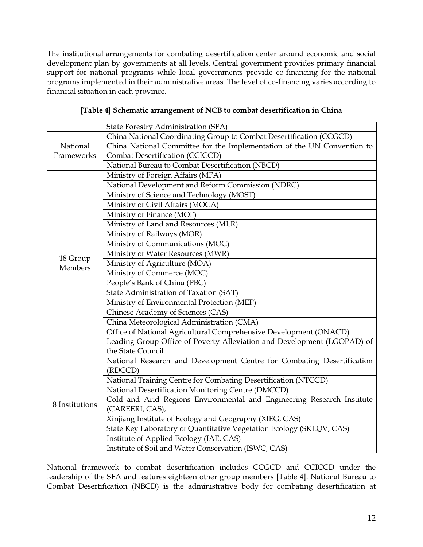The institutional arrangements for combating desertification center around economic and social development plan by governments at all levels. Central government provides primary financial support for national programs while local governments provide co-financing for the national programs implemented in their administrative areas. The level of co-financing varies according to financial situation in each province.

|                     | State Forestry Administration (SFA)                                     |
|---------------------|-------------------------------------------------------------------------|
|                     | China National Coordinating Group to Combat Desertification (CCGCD)     |
| National            | China National Committee for the Implementation of the UN Convention to |
| Frameworks          | Combat Desertification (CCICCD)                                         |
|                     | National Bureau to Combat Desertification (NBCD)                        |
|                     | Ministry of Foreign Affairs (MFA)                                       |
|                     | National Development and Reform Commission (NDRC)                       |
|                     | Ministry of Science and Technology (MOST)                               |
|                     | Ministry of Civil Affairs (MOCA)                                        |
|                     | Ministry of Finance (MOF)                                               |
|                     | Ministry of Land and Resources (MLR)                                    |
|                     | Ministry of Railways (MOR)                                              |
|                     | Ministry of Communications (MOC)                                        |
|                     | Ministry of Water Resources (MWR)                                       |
| 18 Group<br>Members | Ministry of Agriculture (MOA)                                           |
|                     | Ministry of Commerce (MOC)                                              |
|                     | People's Bank of China (PBC)                                            |
|                     | State Administration of Taxation (SAT)                                  |
|                     | Ministry of Environmental Protection (MEP)                              |
|                     | Chinese Academy of Sciences (CAS)                                       |
|                     | China Meteorological Administration (CMA)                               |
|                     | Office of National Agricultural Comprehensive Development (ONACD)       |
|                     | Leading Group Office of Poverty Alleviation and Development (LGOPAD) of |
|                     | the State Council                                                       |
|                     | National Research and Development Centre for Combating Desertification  |
|                     | (RDCCD)                                                                 |
| 8 Institutions      | National Training Centre for Combating Desertification (NTCCD)          |
|                     | National Desertification Monitoring Centre (DMCCD)                      |
|                     | Cold and Arid Regions Environmental and Engineering Research Institute  |
|                     | (CAREERI, CAS),                                                         |
|                     | Xinjiang Institute of Ecology and Geography (XIEG, CAS)                 |
|                     | State Key Laboratory of Quantitative Vegetation Ecology (SKLQV, CAS)    |
|                     | Institute of Applied Ecology (IAE, CAS)                                 |
|                     | Institute of Soil and Water Conservation (ISWC, CAS)                    |

National framework to combat desertification includes CCGCD and CCICCD under the leadership of the SFA and features eighteen other group members [Table 4]. National Bureau to Combat Desertification (NBCD) is the administrative body for combating desertification at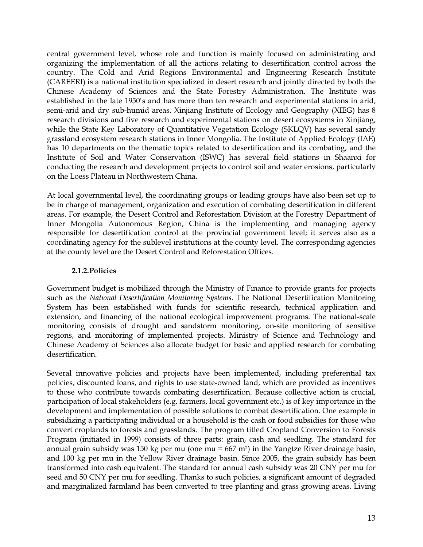central government level, whose role and function is mainly focused on administrating and organizing the implementation of all the actions relating to desertification control across the country. The Cold and Arid Regions Environmental and Engineering Research Institute (CAREERI) is a national institution specialized in desert research and jointly directed by both the Chinese Academy of Sciences and the State Forestry Administration. The Institute was established in the late 1950's and has more than ten research and experimental stations in arid, semi-arid and dry sub-humid areas. Xinjiang Institute of Ecology and Geography (XIEG) has 8 research divisions and five research and experimental stations on desert ecosystems in Xinjiang, while the State Key Laboratory of Quantitative Vegetation Ecology (SKLQV) has several sandy grassland ecosystem research stations in Inner Mongolia. The Institute of Applied Ecology (IAE) has 10 departments on the thematic topics related to desertification and its combating, and the Institute of Soil and Water Conservation (ISWC) has several field stations in Shaanxi for conducting the research and development projects to control soil and water erosions, particularly on the Loess Plateau in Northwestern China.

At local governmental level, the coordinating groups or leading groups have also been set up to be in charge of management, organization and execution of combating desertification in different areas. For example, the Desert Control and Reforestation Division at the Forestry Department of Inner Mongolia Autonomous Region, China is the implementing and managing agency responsible for desertification control at the provincial government level; it serves also as a coordinating agency for the sublevel institutions at the county level. The corresponding agencies at the county level are the Desert Control and Reforestation Offices.

#### 2.1.2.Policies

Government budget is mobilized through the Ministry of Finance to provide grants for projects such as the National Desertification Monitoring Systems. The National Desertification Monitoring System has been established with funds for scientific research, technical application and extension, and financing of the national ecological improvement programs. The national-scale monitoring consists of drought and sandstorm monitoring, on-site monitoring of sensitive regions, and monitoring of implemented projects. Ministry of Science and Technology and Chinese Academy of Sciences also allocate budget for basic and applied research for combating desertification.

Several innovative policies and projects have been implemented, including preferential tax policies, discounted loans, and rights to use state-owned land, which are provided as incentives to those who contribute towards combating desertification. Because collective action is crucial, participation of local stakeholders (e.g. farmers, local government etc.) is of key importance in the development and implementation of possible solutions to combat desertification. One example in subsidizing a participating individual or a household is the cash or food subsidies for those who convert croplands to forests and grasslands. The program titled Cropland Conversion to Forests Program (initiated in 1999) consists of three parts: grain, cash and seedling. The standard for annual grain subsidy was 150 kg per mu (one mu =  $667$  m<sup>2</sup>) in the Yangtze River drainage basin, and 100 kg per mu in the Yellow River drainage basin. Since 2005, the grain subsidy has been transformed into cash equivalent. The standard for annual cash subsidy was 20 CNY per mu for seed and 50 CNY per mu for seedling. Thanks to such policies, a significant amount of degraded and marginalized farmland has been converted to tree planting and grass growing areas. Living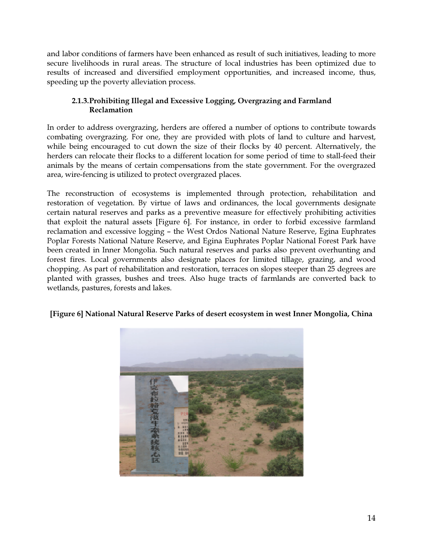and labor conditions of farmers have been enhanced as result of such initiatives, leading to more secure livelihoods in rural areas. The structure of local industries has been optimized due to results of increased and diversified employment opportunities, and increased income, thus, speeding up the poverty alleviation process.

# 2.1.3.Prohibiting Illegal and Excessive Logging, Overgrazing and Farmland Reclamation

In order to address overgrazing, herders are offered a number of options to contribute towards combating overgrazing. For one, they are provided with plots of land to culture and harvest, while being encouraged to cut down the size of their flocks by 40 percent. Alternatively, the herders can relocate their flocks to a different location for some period of time to stall-feed their animals by the means of certain compensations from the state government. For the overgrazed area, wire-fencing is utilized to protect overgrazed places.

The reconstruction of ecosystems is implemented through protection, rehabilitation and restoration of vegetation. By virtue of laws and ordinances, the local governments designate certain natural reserves and parks as a preventive measure for effectively prohibiting activities that exploit the natural assets [Figure 6]. For instance, in order to forbid excessive farmland reclamation and excessive logging – the West Ordos National Nature Reserve, Egina Euphrates Poplar Forests National Nature Reserve, and Egina Euphrates Poplar National Forest Park have been created in Inner Mongolia. Such natural reserves and parks also prevent overhunting and forest fires. Local governments also designate places for limited tillage, grazing, and wood chopping. As part of rehabilitation and restoration, terraces on slopes steeper than 25 degrees are planted with grasses, bushes and trees. Also huge tracts of farmlands are converted back to wetlands, pastures, forests and lakes.

# [Figure 6] National Natural Reserve Parks of desert ecosystem in west Inner Mongolia, China

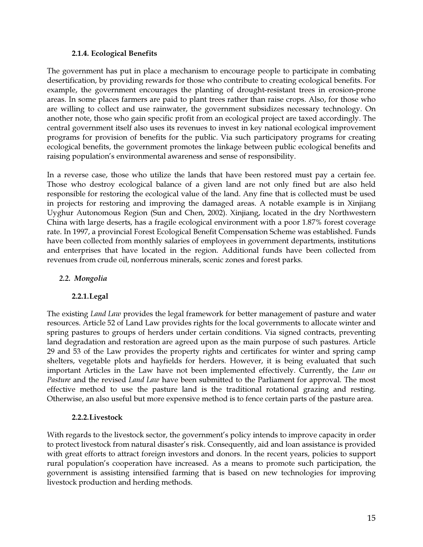#### 2.1.4. Ecological Benefits

The government has put in place a mechanism to encourage people to participate in combating desertification, by providing rewards for those who contribute to creating ecological benefits. For example, the government encourages the planting of drought-resistant trees in erosion-prone areas. In some places farmers are paid to plant trees rather than raise crops. Also, for those who are willing to collect and use rainwater, the government subsidizes necessary technology. On another note, those who gain specific profit from an ecological project are taxed accordingly. The central government itself also uses its revenues to invest in key national ecological improvement programs for provision of benefits for the public. Via such participatory programs for creating ecological benefits, the government promotes the linkage between public ecological benefits and raising population's environmental awareness and sense of responsibility.

In a reverse case, those who utilize the lands that have been restored must pay a certain fee. Those who destroy ecological balance of a given land are not only fined but are also held responsible for restoring the ecological value of the land. Any fine that is collected must be used in projects for restoring and improving the damaged areas. A notable example is in Xinjiang Uyghur Autonomous Region (Sun and Chen, 2002). Xinjiang, located in the dry Northwestern China with large deserts, has a fragile ecological environment with a poor 1.87% forest coverage rate. In 1997, a provincial Forest Ecological Benefit Compensation Scheme was established. Funds have been collected from monthly salaries of employees in government departments, institutions and enterprises that have located in the region. Additional funds have been collected from revenues from crude oil, nonferrous minerals, scenic zones and forest parks.

# 2.2. Mongolia

# 2.2.1.Legal

The existing *Land Law* provides the legal framework for better management of pasture and water resources. Article 52 of Land Law provides rights for the local governments to allocate winter and spring pastures to groups of herders under certain conditions. Via signed contracts, preventing land degradation and restoration are agreed upon as the main purpose of such pastures. Article 29 and 53 of the Law provides the property rights and certificates for winter and spring camp shelters, vegetable plots and hayfields for herders. However, it is being evaluated that such important Articles in the Law have not been implemented effectively. Currently, the Law on Pasture and the revised Land Law have been submitted to the Parliament for approval. The most effective method to use the pasture land is the traditional rotational grazing and resting. Otherwise, an also useful but more expensive method is to fence certain parts of the pasture area.

#### 2.2.2.Livestock

With regards to the livestock sector, the government's policy intends to improve capacity in order to protect livestock from natural disaster's risk. Consequently, aid and loan assistance is provided with great efforts to attract foreign investors and donors. In the recent years, policies to support rural population's cooperation have increased. As a means to promote such participation, the government is assisting intensified farming that is based on new technologies for improving livestock production and herding methods.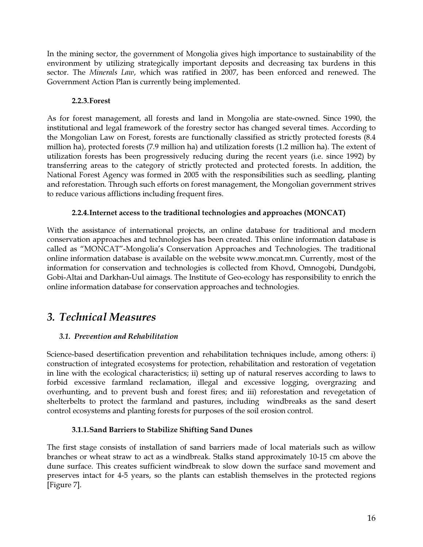In the mining sector, the government of Mongolia gives high importance to sustainability of the environment by utilizing strategically important deposits and decreasing tax burdens in this sector. The Minerals Law, which was ratified in 2007, has been enforced and renewed. The Government Action Plan is currently being implemented.

# 2.2.3.Forest

As for forest management, all forests and land in Mongolia are state-owned. Since 1990, the institutional and legal framework of the forestry sector has changed several times. According to the Mongolian Law on Forest, forests are functionally classified as strictly protected forests (8.4 million ha), protected forests (7.9 million ha) and utilization forests (1.2 million ha). The extent of utilization forests has been progressively reducing during the recent years (i.e. since 1992) by transferring areas to the category of strictly protected and protected forests. In addition, the National Forest Agency was formed in 2005 with the responsibilities such as seedling, planting and reforestation. Through such efforts on forest management, the Mongolian government strives to reduce various afflictions including frequent fires.

# 2.2.4.Internet access to the traditional technologies and approaches (MONCAT)

With the assistance of international projects, an online database for traditional and modern conservation approaches and technologies has been created. This online information database is called as "MONCAT"-Mongolia's Conservation Approaches and Technologies. The traditional online information database is available on the website www.moncat.mn. Currently, most of the information for conservation and technologies is collected from Khovd, Omnogobi, Dundgobi, Gobi-Altai and Darkhan-Uul aimags. The Institute of Geo-ecology has responsibility to enrich the online information database for conservation approaches and technologies.

# 3. Technical Measures

# 3.1. Prevention and Rehabilitation

Science-based desertification prevention and rehabilitation techniques include, among others: i) construction of integrated ecosystems for protection, rehabilitation and restoration of vegetation in line with the ecological characteristics; ii) setting up of natural reserves according to laws to forbid excessive farmland reclamation, illegal and excessive logging, overgrazing and overhunting, and to prevent bush and forest fires; and iii) reforestation and revegetation of shelterbelts to protect the farmland and pastures, including windbreaks as the sand desert control ecosystems and planting forests for purposes of the soil erosion control.

# 3.1.1.Sand Barriers to Stabilize Shifting Sand Dunes

The first stage consists of installation of sand barriers made of local materials such as willow branches or wheat straw to act as a windbreak. Stalks stand approximately 10-15 cm above the dune surface. This creates sufficient windbreak to slow down the surface sand movement and preserves intact for 4-5 years, so the plants can establish themselves in the protected regions [Figure 7].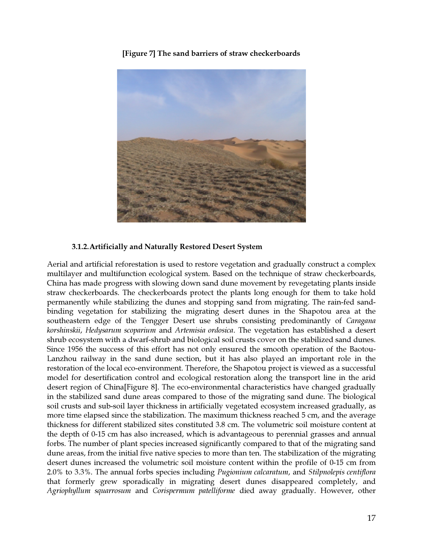[Figure 7] The sand barriers of straw checkerboards



# 3.1.2.Artificially and Naturally Restored Desert System

Aerial and artificial reforestation is used to restore vegetation and gradually construct a complex multilayer and multifunction ecological system. Based on the technique of straw checkerboards, China has made progress with slowing down sand dune movement by revegetating plants inside straw checkerboards. The checkerboards protect the plants long enough for them to take hold permanently while stabilizing the dunes and stopping sand from migrating. The rain-fed sandbinding vegetation for stabilizing the migrating desert dunes in the Shapotou area at the southeastern edge of the Tengger Desert use shrubs consisting predominantly of *Caragana* korshinskii, Hedysarum scoparium and Artemisia ordosica. The vegetation has established a desert shrub ecosystem with a dwarf-shrub and biological soil crusts cover on the stabilized sand dunes. Since 1956 the success of this effort has not only ensured the smooth operation of the Baotou-Lanzhou railway in the sand dune section, but it has also played an important role in the restoration of the local eco-environment. Therefore, the Shapotou project is viewed as a successful model for desertification control and ecological restoration along the transport line in the arid desert region of China[Figure 8]. The eco-environmental characteristics have changed gradually in the stabilized sand dune areas compared to those of the migrating sand dune. The biological soil crusts and sub-soil layer thickness in artificially vegetated ecosystem increased gradually, as more time elapsed since the stabilization. The maximum thickness reached 5 cm, and the average thickness for different stabilized sites constituted 3.8 cm. The volumetric soil moisture content at the depth of 0-15 cm has also increased, which is advantageous to perennial grasses and annual forbs. The number of plant species increased significantly compared to that of the migrating sand dune areas, from the initial five native species to more than ten. The stabilization of the migrating desert dunes increased the volumetric soil moisture content within the profile of 0-15 cm from 2.0% to 3.3%. The annual forbs species including Pugionium calcaratum, and Stilpnolepis centiflora that formerly grew sporadically in migrating desert dunes disappeared completely, and Agriophyllum squarrosum and Corispermum patelliforme died away gradually. However, other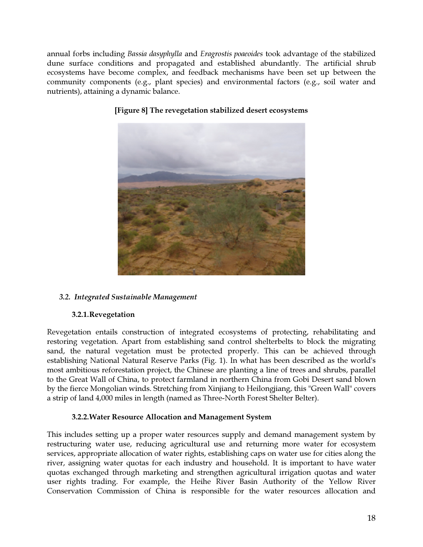annual forbs including Bassia dasyphylla and Eragrostis poaeoides took advantage of the stabilized dune surface conditions and propagated and established abundantly. The artificial shrub ecosystems have become complex, and feedback mechanisms have been set up between the community components (e.g., plant species) and environmental factors (e.g., soil water and nutrients), attaining a dynamic balance.



# [Figure 8] The revegetation stabilized desert ecosystems

# 3.2. Integrated Sustainable Management

#### 3.2.1.Revegetation

Revegetation entails construction of integrated ecosystems of protecting, rehabilitating and restoring vegetation. Apart from establishing sand control shelterbelts to block the migrating sand, the natural vegetation must be protected properly. This can be achieved through establishing National Natural Reserve Parks (Fig. 1). In what has been described as the world's most ambitious reforestation project, the Chinese are planting a line of trees and shrubs, parallel to the Great Wall of China, to protect farmland in northern China from Gobi Desert sand blown by the fierce Mongolian winds. Stretching from Xinjiang to Heilongjiang, this "Green Wall" covers a strip of land 4,000 miles in length (named as Three-North Forest Shelter Belter).

#### 3.2.2.Water Resource Allocation and Management System

This includes setting up a proper water resources supply and demand management system by restructuring water use, reducing agricultural use and returning more water for ecosystem services, appropriate allocation of water rights, establishing caps on water use for cities along the river, assigning water quotas for each industry and household. It is important to have water quotas exchanged through marketing and strengthen agricultural irrigation quotas and water user rights trading. For example, the Heihe River Basin Authority of the Yellow River Conservation Commission of China is responsible for the water resources allocation and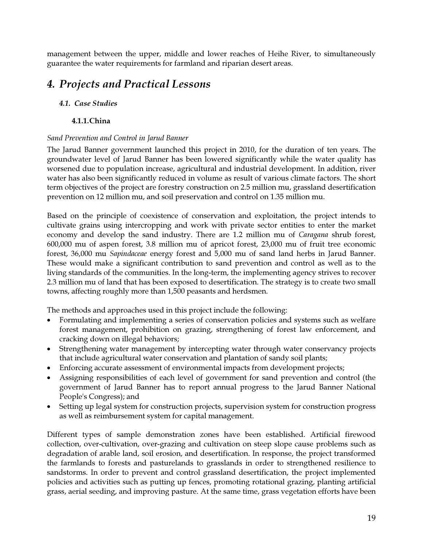management between the upper, middle and lower reaches of Heihe River, to simultaneously guarantee the water requirements for farmland and riparian desert areas.

# 4. Projects and Practical Lessons

# 4.1. Case Studies

# 4.1.1.China

# Sand Prevention and Control in Jarud Banner

The Jarud Banner government launched this project in 2010, for the duration of ten years. The groundwater level of Jarud Banner has been lowered significantly while the water quality has worsened due to population increase, agricultural and industrial development. In addition, river water has also been significantly reduced in volume as result of various climate factors. The short term objectives of the project are forestry construction on 2.5 million mu, grassland desertification prevention on 12 million mu, and soil preservation and control on 1.35 million mu.

Based on the principle of coexistence of conservation and exploitation, the project intends to cultivate grains using intercropping and work with private sector entities to enter the market economy and develop the sand industry. There are 1.2 million mu of Caragana shrub forest, 600,000 mu of aspen forest, 3.8 million mu of apricot forest, 23,000 mu of fruit tree economic forest, 36,000 mu Sapindaceae energy forest and 5,000 mu of sand land herbs in Jarud Banner. These would make a significant contribution to sand prevention and control as well as to the living standards of the communities. In the long-term, the implementing agency strives to recover 2.3 million mu of land that has been exposed to desertification. The strategy is to create two small towns, affecting roughly more than 1,500 peasants and herdsmen.

The methods and approaches used in this project include the following:

- Formulating and implementing a series of conservation policies and systems such as welfare forest management, prohibition on grazing, strengthening of forest law enforcement, and cracking down on illegal behaviors;
- Strengthening water management by intercepting water through water conservancy projects that include agricultural water conservation and plantation of sandy soil plants;
- Enforcing accurate assessment of environmental impacts from development projects;
- Assigning responsibilities of each level of government for sand prevention and control (the government of Jarud Banner has to report annual progress to the Jarud Banner National People's Congress); and
- Setting up legal system for construction projects, supervision system for construction progress as well as reimbursement system for capital management.

Different types of sample demonstration zones have been established. Artificial firewood collection, over-cultivation, over-grazing and cultivation on steep slope cause problems such as degradation of arable land, soil erosion, and desertification. In response, the project transformed the farmlands to forests and pasturelands to grasslands in order to strengthened resilience to sandstorms. In order to prevent and control grassland desertification, the project implemented policies and activities such as putting up fences, promoting rotational grazing, planting artificial grass, aerial seeding, and improving pasture. At the same time, grass vegetation efforts have been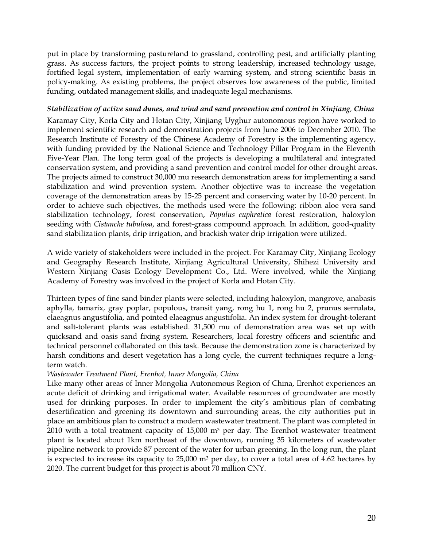put in place by transforming pastureland to grassland, controlling pest, and artificially planting grass. As success factors, the project points to strong leadership, increased technology usage, fortified legal system, implementation of early warning system, and strong scientific basis in policy-making. As existing problems, the project observes low awareness of the public, limited funding, outdated management skills, and inadequate legal mechanisms.

#### Stabilization of active sand dunes, and wind and sand prevention and control in Xinjiang, China

Karamay City, Korla City and Hotan City, Xinjiang Uyghur autonomous region have worked to implement scientific research and demonstration projects from June 2006 to December 2010. The Research Institute of Forestry of the Chinese Academy of Forestry is the implementing agency, with funding provided by the National Science and Technology Pillar Program in the Eleventh Five-Year Plan. The long term goal of the projects is developing a multilateral and integrated conservation system, and providing a sand prevention and control model for other drought areas. The projects aimed to construct 30,000 mu research demonstration areas for implementing a sand stabilization and wind prevention system. Another objective was to increase the vegetation coverage of the demonstration areas by 15-25 percent and conserving water by 10-20 percent. In order to achieve such objectives, the methods used were the following: ribbon aloe vera sand stabilization technology, forest conservation, Populus euphratica forest restoration, haloxylon seeding with Cistanche tubulosa, and forest-grass compound approach. In addition, good-quality sand stabilization plants, drip irrigation, and brackish water drip irrigation were utilized.

A wide variety of stakeholders were included in the project. For Karamay City, Xinjiang Ecology and Geography Research Institute, Xinjiang Agricultural University, Shihezi University and Western Xinjiang Oasis Ecology Development Co., Ltd. Were involved, while the Xinjiang Academy of Forestry was involved in the project of Korla and Hotan City.

Thirteen types of fine sand binder plants were selected, including haloxylon, mangrove, anabasis aphylla, tamarix, gray poplar, populous, transit yang, rong hu 1, rong hu 2, prunus serrulata, elaeagnus angustifolia, and pointed elaeagnus angustifolia. An index system for drought-tolerant and salt-tolerant plants was established. 31,500 mu of demonstration area was set up with quicksand and oasis sand fixing system. Researchers, local forestry officers and scientific and technical personnel collaborated on this task. Because the demonstration zone is characterized by harsh conditions and desert vegetation has a long cycle, the current techniques require a longterm watch.

#### Wastewater Treatment Plant, Erenhot, Inner Mongolia, China

Like many other areas of Inner Mongolia Autonomous Region of China, Erenhot experiences an acute deficit of drinking and irrigational water. Available resources of groundwater are mostly used for drinking purposes. In order to implement the city's ambitious plan of combating desertification and greening its downtown and surrounding areas, the city authorities put in place an ambitious plan to construct a modern wastewater treatment. The plant was completed in  $2010$  with a total treatment capacity of 15,000 m<sup>3</sup> per day. The Erenhot wastewater treatment plant is located about 1km northeast of the downtown, running 35 kilometers of wastewater pipeline network to provide 87 percent of the water for urban greening. In the long run, the plant is expected to increase its capacity to  $25,000$  m<sup>3</sup> per day, to cover a total area of  $4.62$  hectares by 2020. The current budget for this project is about 70 million CNY.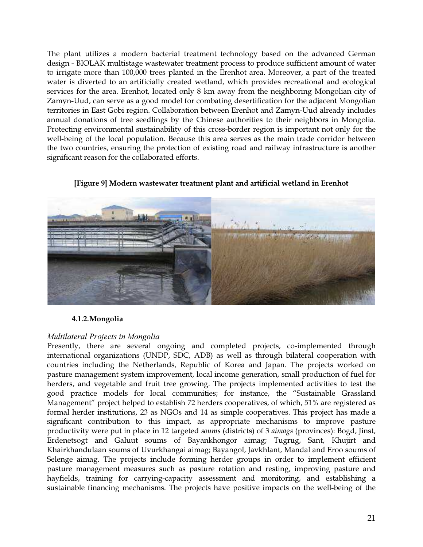The plant utilizes a modern bacterial treatment technology based on the advanced German design - BIOLAK multistage wastewater treatment process to produce sufficient amount of water to irrigate more than 100,000 trees planted in the Erenhot area. Moreover, a part of the treated water is diverted to an artificially created wetland, which provides recreational and ecological services for the area. Erenhot, located only 8 km away from the neighboring Mongolian city of Zamyn-Uud, can serve as a good model for combating desertification for the adjacent Mongolian territories in East Gobi region. Collaboration between Erenhot and Zamyn-Uud already includes annual donations of tree seedlings by the Chinese authorities to their neighbors in Mongolia. Protecting environmental sustainability of this cross-border region is important not only for the well-being of the local population. Because this area serves as the main trade corridor between the two countries, ensuring the protection of existing road and railway infrastructure is another significant reason for the collaborated efforts.



[Figure 9] Modern wastewater treatment plant and artificial wetland in Erenhot

# 4.1.2.Mongolia

#### Multilateral Projects in Mongolia

Presently, there are several ongoing and completed projects, co-implemented through international organizations (UNDP, SDC, ADB) as well as through bilateral cooperation with countries including the Netherlands, Republic of Korea and Japan. The projects worked on pasture management system improvement, local income generation, small production of fuel for herders, and vegetable and fruit tree growing. The projects implemented activities to test the good practice models for local communities; for instance, the "Sustainable Grassland Management" project helped to establish 72 herders cooperatives, of which, 51% are registered as formal herder institutions, 23 as NGOs and 14 as simple cooperatives. This project has made a significant contribution to this impact, as appropriate mechanisms to improve pasture productivity were put in place in 12 targeted soums (districts) of 3 aimags (provinces): Bogd, Jinst, Erdenetsogt and Galuut soums of Bayankhongor aimag; Tugrug, Sant, Khujirt and Khairkhandulaan soums of Uvurkhangai aimag; Bayangol, Javkhlant, Mandal and Eroo soums of Selenge aimag. The projects include forming herder groups in order to implement efficient pasture management measures such as pasture rotation and resting, improving pasture and hayfields, training for carrying-capacity assessment and monitoring, and establishing a sustainable financing mechanisms. The projects have positive impacts on the well-being of the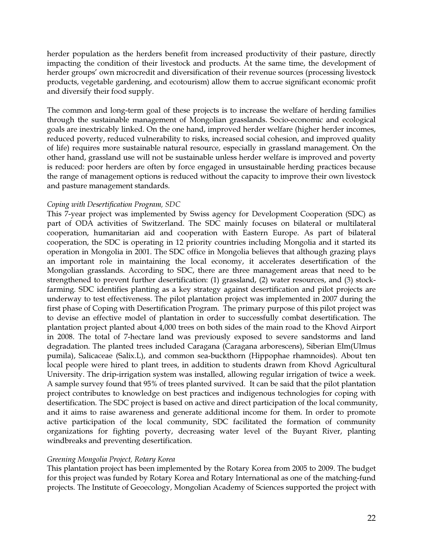herder population as the herders benefit from increased productivity of their pasture, directly impacting the condition of their livestock and products. At the same time, the development of herder groups' own microcredit and diversification of their revenue sources (processing livestock products, vegetable gardening, and ecotourism) allow them to accrue significant economic profit and diversify their food supply.

The common and long-term goal of these projects is to increase the welfare of herding families through the sustainable management of Mongolian grasslands. Socio-economic and ecological goals are inextricably linked. On the one hand, improved herder welfare (higher herder incomes, reduced poverty, reduced vulnerability to risks, increased social cohesion, and improved quality of life) requires more sustainable natural resource, especially in grassland management. On the other hand, grassland use will not be sustainable unless herder welfare is improved and poverty is reduced: poor herders are often by force engaged in unsustainable herding practices because the range of management options is reduced without the capacity to improve their own livestock and pasture management standards.

#### Coping with Desertification Program, SDC

This 7-year project was implemented by Swiss agency for Development Cooperation (SDC) as part of ODA activities of Switzerland. The SDC mainly focuses on bilateral or multilateral cooperation, humanitarian aid and cooperation with Eastern Europe. As part of bilateral cooperation, the SDC is operating in 12 priority countries including Mongolia and it started its operation in Mongolia in 2001. The SDC office in Mongolia believes that although grazing plays an important role in maintaining the local economy, it accelerates desertification of the Mongolian grasslands. According to SDC, there are three management areas that need to be strengthened to prevent further desertification: (1) grassland, (2) water resources, and (3) stockfarming. SDC identifies planting as a key strategy against desertification and pilot projects are underway to test effectiveness. The pilot plantation project was implemented in 2007 during the first phase of Coping with Desertification Program. The primary purpose of this pilot project was to devise an effective model of plantation in order to successfully combat desertification. The plantation project planted about 4,000 trees on both sides of the main road to the Khovd Airport in 2008. The total of 7-hectare land was previously exposed to severe sandstorms and land degradation. The planted trees included Caragana (Caragana arborescens), Siberian Elm(Ulmus pumila), Salicaceae (Salix.L), and common sea-buckthorn (Hippophae rhamnoides). About ten local people were hired to plant trees, in addition to students drawn from Khovd Agricultural University. The drip-irrigation system was installed, allowing regular irrigation of twice a week. A sample survey found that 95% of trees planted survived. It can be said that the pilot plantation project contributes to knowledge on best practices and indigenous technologies for coping with desertification. The SDC project is based on active and direct participation of the local community, and it aims to raise awareness and generate additional income for them. In order to promote active participation of the local community, SDC facilitated the formation of community organizations for fighting poverty, decreasing water level of the Buyant River, planting windbreaks and preventing desertification.

#### Greening Mongolia Project, Rotary Korea

This plantation project has been implemented by the Rotary Korea from 2005 to 2009. The budget for this project was funded by Rotary Korea and Rotary International as one of the matching-fund projects. The Institute of Geoecology, Mongolian Academy of Sciences supported the project with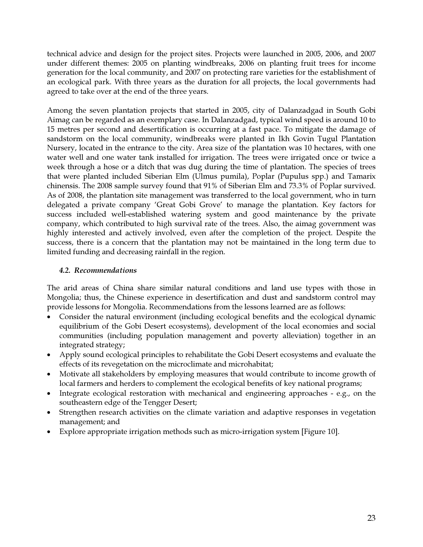technical advice and design for the project sites. Projects were launched in 2005, 2006, and 2007 under different themes: 2005 on planting windbreaks, 2006 on planting fruit trees for income generation for the local community, and 2007 on protecting rare varieties for the establishment of an ecological park. With three years as the duration for all projects, the local governments had agreed to take over at the end of the three years.

Among the seven plantation projects that started in 2005, city of Dalanzadgad in South Gobi Aimag can be regarded as an exemplary case. In Dalanzadgad, typical wind speed is around 10 to 15 metres per second and desertification is occurring at a fast pace. To mitigate the damage of sandstorm on the local community, windbreaks were planted in Ikh Govin Tugul Plantation Nursery, located in the entrance to the city. Area size of the plantation was 10 hectares, with one water well and one water tank installed for irrigation. The trees were irrigated once or twice a week through a hose or a ditch that was dug during the time of plantation. The species of trees that were planted included Siberian Elm (Ulmus pumila), Poplar (Pupulus spp.) and Tamarix chinensis. The 2008 sample survey found that 91% of Siberian Elm and 73.3% of Poplar survived. As of 2008, the plantation site management was transferred to the local government, who in turn delegated a private company 'Great Gobi Grove' to manage the plantation. Key factors for success included well-established watering system and good maintenance by the private company, which contributed to high survival rate of the trees. Also, the aimag government was highly interested and actively involved, even after the completion of the project. Despite the success, there is a concern that the plantation may not be maintained in the long term due to limited funding and decreasing rainfall in the region.

#### 4.2. Recommendations

The arid areas of China share similar natural conditions and land use types with those in Mongolia; thus, the Chinese experience in desertification and dust and sandstorm control may provide lessons for Mongolia. Recommendations from the lessons learned are as follows:

- Consider the natural environment (including ecological benefits and the ecological dynamic equilibrium of the Gobi Desert ecosystems), development of the local economies and social communities (including population management and poverty alleviation) together in an integrated strategy;
- Apply sound ecological principles to rehabilitate the Gobi Desert ecosystems and evaluate the effects of its revegetation on the microclimate and microhabitat;
- Motivate all stakeholders by employing measures that would contribute to income growth of local farmers and herders to complement the ecological benefits of key national programs;
- Integrate ecological restoration with mechanical and engineering approaches e.g., on the southeastern edge of the Tengger Desert;
- Strengthen research activities on the climate variation and adaptive responses in vegetation management; and
- Explore appropriate irrigation methods such as micro-irrigation system [Figure 10].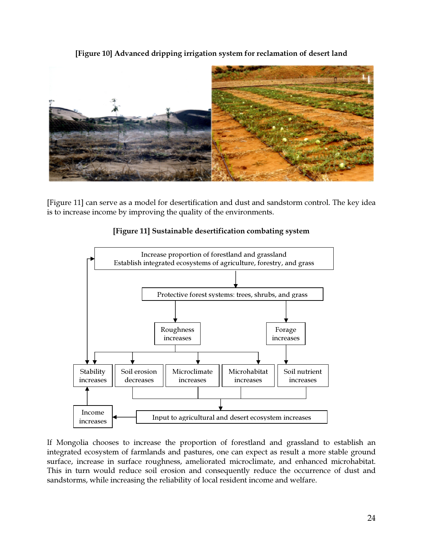

[Figure 10] Advanced dripping irrigation system for reclamation of desert land

[Figure 11] can serve as a model for desertification and dust and sandstorm control. The key idea is to increase income by improving the quality of the environments.



#### [Figure 11] Sustainable desertification combating system

If Mongolia chooses to increase the proportion of forestland and grassland to establish an integrated ecosystem of farmlands and pastures, one can expect as result a more stable ground surface, increase in surface roughness, ameliorated microclimate, and enhanced microhabitat. This in turn would reduce soil erosion and consequently reduce the occurrence of dust and sandstorms, while increasing the reliability of local resident income and welfare.